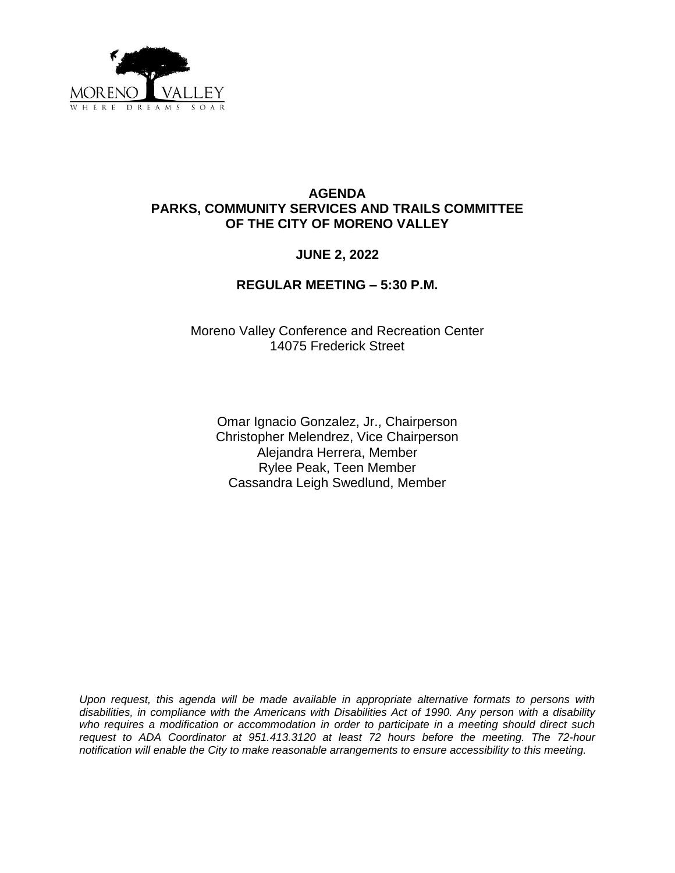

## **AGENDA PARKS, COMMUNITY SERVICES AND TRAILS COMMITTEE OF THE CITY OF MORENO VALLEY**

# **JUNE 2, 2022**

### **REGULAR MEETING – 5:30 P.M.**

Moreno Valley Conference and Recreation Center 14075 Frederick Street

Omar Ignacio Gonzalez, Jr., Chairperson Christopher Melendrez, Vice Chairperson Alejandra Herrera, Member Rylee Peak, Teen Member Cassandra Leigh Swedlund, Member

*Upon request, this agenda will be made available in appropriate alternative formats to persons with disabilities, in compliance with the Americans with Disabilities Act of 1990. Any person with a disability who requires a modification or accommodation in order to participate in a meeting should direct such request to ADA Coordinator at 951.413.3120 at least 72 hours before the meeting. The 72-hour notification will enable the City to make reasonable arrangements to ensure accessibility to this meeting.*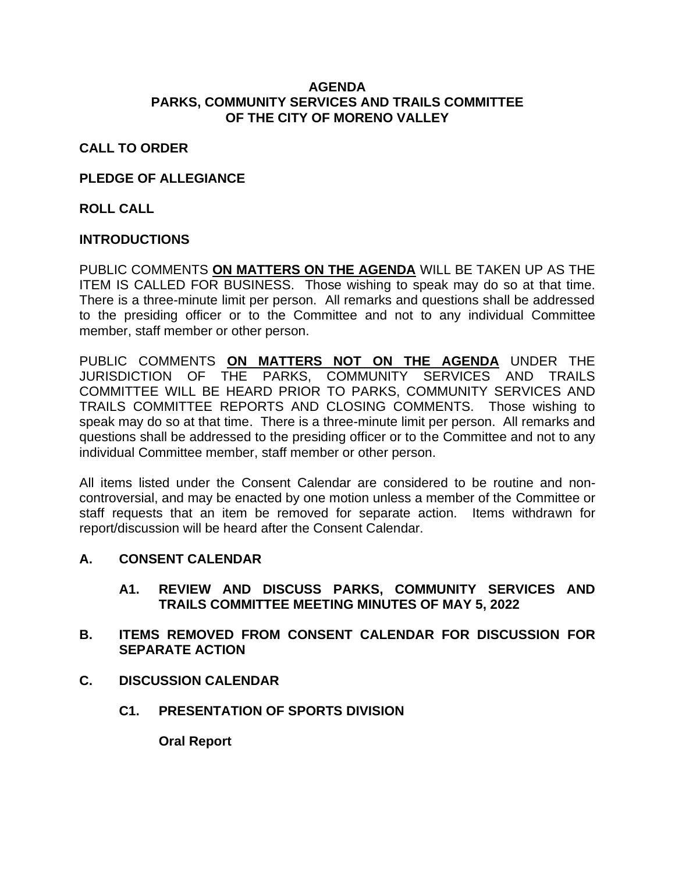### **AGENDA PARKS, COMMUNITY SERVICES AND TRAILS COMMITTEE OF THE CITY OF MORENO VALLEY**

# **CALL TO ORDER**

## **PLEDGE OF ALLEGIANCE**

**ROLL CALL**

### **INTRODUCTIONS**

PUBLIC COMMENTS **ON MATTERS ON THE AGENDA** WILL BE TAKEN UP AS THE ITEM IS CALLED FOR BUSINESS. Those wishing to speak may do so at that time. There is a three-minute limit per person. All remarks and questions shall be addressed to the presiding officer or to the Committee and not to any individual Committee member, staff member or other person.

PUBLIC COMMENTS **ON MATTERS NOT ON THE AGENDA** UNDER THE JURISDICTION OF THE PARKS, COMMUNITY SERVICES AND TRAILS COMMITTEE WILL BE HEARD PRIOR TO PARKS, COMMUNITY SERVICES AND TRAILS COMMITTEE REPORTS AND CLOSING COMMENTS. Those wishing to speak may do so at that time. There is a three-minute limit per person. All remarks and questions shall be addressed to the presiding officer or to the Committee and not to any individual Committee member, staff member or other person.

All items listed under the Consent Calendar are considered to be routine and noncontroversial, and may be enacted by one motion unless a member of the Committee or staff requests that an item be removed for separate action. Items withdrawn for report/discussion will be heard after the Consent Calendar.

### **A. CONSENT CALENDAR**

# **A1. REVIEW AND DISCUSS PARKS, COMMUNITY SERVICES AND TRAILS COMMITTEE MEETING MINUTES OF MAY 5, 2022**

- **B. ITEMS REMOVED FROM CONSENT CALENDAR FOR DISCUSSION FOR SEPARATE ACTION**
- **C. DISCUSSION CALENDAR**
	- **C1. PRESENTATION OF SPORTS DIVISION**

**Oral Report**